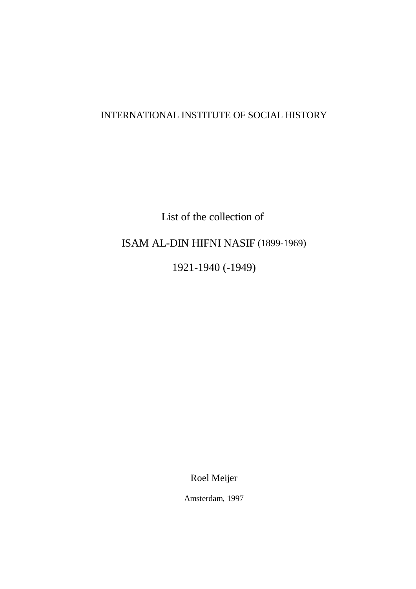# INTERNATIONAL INSTITUTE OF SOCIAL HISTORY

List of the collection of

ISAM AL-DIN HIFNI NASIF (1899-1969)

1921-1940 (-1949)

Roel Meijer

Amsterdam, 1997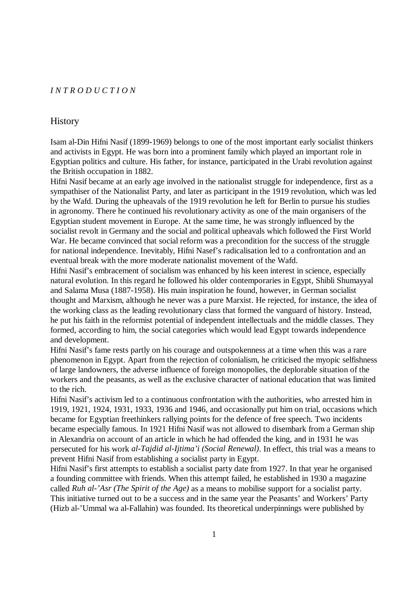#### *I N T R O D U C T I O N*

#### **History**

Isam al-Din Hifni Nasif (1899-1969) belongs to one of the most important early socialist thinkers and activists in Egypt. He was born into a prominent family which played an important role in Egyptian politics and culture. His father, for instance, participated in the Urabi revolution against the British occupation in 1882.

Hifni Nasif became at an early age involved in the nationalist struggle for independence, first as a sympathiser of the Nationalist Party, and later as participant in the 1919 revolution, which was led by the Wafd. During the upheavals of the 1919 revolution he left for Berlin to pursue his studies in agronomy. There he continued his revolutionary activity as one of the main organisers of the Egyptian student movement in Europe. At the same time, he was strongly influenced by the socialist revolt in Germany and the social and political upheavals which followed the First World War. He became convinced that social reform was a precondition for the success of the struggle for national independence. Inevitably, Hifni Nasef's radicalisation led to a confrontation and an eventual break with the more moderate nationalist movement of the Wafd.

Hifni Nasif's embracement of socialism was enhanced by his keen interest in science, especially natural evolution. In this regard he followed his older contemporaries in Egypt, Shibli Shumayyal and Salama Musa (1887-1958). His main inspiration he found, however, in German socialist thought and Marxism, although he never was a pure Marxist. He rejected, for instance, the idea of the working class as the leading revolutionary class that formed the vanguard of history. Instead, he put his faith in the reformist potential of independent intellectuals and the middle classes. They formed, according to him, the social categories which would lead Egypt towards independence and development.

Hifni Nasif's fame rests partly on his courage and outspokenness at a time when this was a rare phenomenon in Egypt. Apart from the rejection of colonialism, he criticised the myopic selfishness of large landowners, the adverse influence of foreign monopolies, the deplorable situation of the workers and the peasants, as well as the exclusive character of national education that was limited to the rich.

Hifni Nasif's activism led to a continuous confrontation with the authorities, who arrested him in 1919, 1921, 1924, 1931, 1933, 1936 and 1946, and occasionally put him on trial, occasions which became for Egyptian freethinkers rallying points for the defence of free speech. Two incidents became especially famous. In 1921 Hifni Nasif was not allowed to disembark from a German ship in Alexandria on account of an article in which he had offended the king, and in 1931 he was persecuted for his work *al-Tajdid al-Ijtima'i (Social Renewal)*. In effect, this trial was a means to prevent Hifni Nasif from establishing a socialist party in Egypt.

Hifni Nasif's first attempts to establish a socialist party date from 1927. In that year he organised a founding committee with friends. When this attempt failed, he established in 1930 a magazine called *Ruh al-'Asr (The Spirit of the Age)* as a means to mobilise support for a socialist party. This initiative turned out to be a success and in the same year the Peasants' and Workers' Party (Hizb al-'Ummal wa al-Fallahin) was founded. Its theoretical underpinnings were published by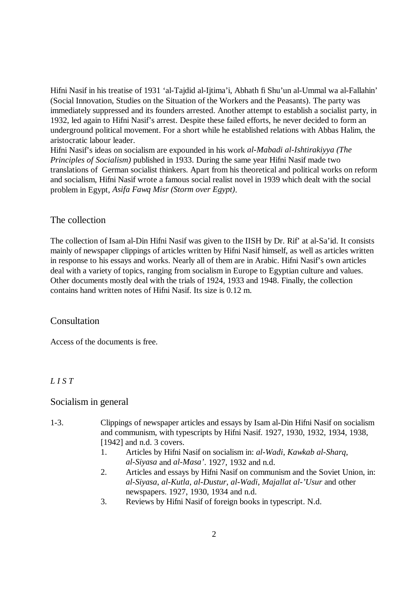Hifni Nasif in his treatise of 1931 'al-Tajdid al-Ijtima'i, Abhath fi Shu'un al-Ummal wa al-Fallahin' (Social Innovation, Studies on the Situation of the Workers and the Peasants). The party was immediately suppressed and its founders arrested. Another attempt to establish a socialist party, in 1932, led again to Hifni Nasif's arrest. Despite these failed efforts, he never decided to form an underground political movement. For a short while he established relations with Abbas Halim, the aristocratic labour leader.

Hifni Nasif's ideas on socialism are expounded in his work *al-Mabadi al-Ishtirakiyya (The Principles of Socialism)* published in 1933. During the same year Hifni Nasif made two translations of German socialist thinkers. Apart from his theoretical and political works on reform and socialism, Hifni Nasif wrote a famous social realist novel in 1939 which dealt with the social problem in Egypt, *Asifa Fawq Misr (Storm over Egypt)*.

## The collection

The collection of Isam al-Din Hifni Nasif was given to the IISH by Dr. Rif' at al-Sa'id. It consists mainly of newspaper clippings of articles written by Hifni Nasif himself, as well as articles written in response to his essays and works. Nearly all of them are in Arabic. Hifni Nasif's own articles deal with a variety of topics, ranging from socialism in Europe to Egyptian culture and values. Other documents mostly deal with the trials of 1924, 1933 and 1948. Finally, the collection contains hand written notes of Hifni Nasif. Its size is 0.12 m.

## **Consultation**

Access of the documents is free.

# *L I S T*

## Socialism in general

- 1-3. Clippings of newspaper articles and essays by Isam al-Din Hifni Nasif on socialism and communism, with typescripts by Hifni Nasif. 1927, 1930, 1932, 1934, 1938, [1942] and n.d. 3 covers.
	- 1. Articles by Hifni Nasif on socialism in: *al-Wadi*, *Kawkab al-Sharq*, *al-Siyasa* and *al-Masa'*. 1927, 1932 and n.d.
	- 2. Articles and essays by Hifni Nasif on communism and the Soviet Union, in: *al-Siyasa*, *al-Kutla*, *al-Dustur*, *al-Wadi*, *Majallat al-'Usur* and other newspapers. 1927, 1930, 1934 and n.d.
	- 3. Reviews by Hifni Nasif of foreign books in typescript. N.d.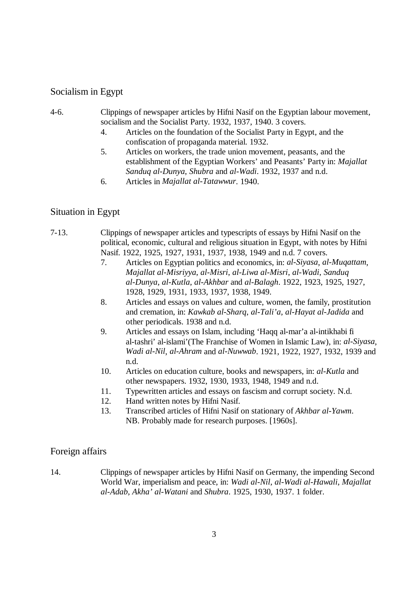# Socialism in Egypt

- 4-6. Clippings of newspaper articles by Hifni Nasif on the Egyptian labour movement, socialism and the Socialist Party. 1932, 1937, 1940. 3 covers.
	- 4. Articles on the foundation of the Socialist Party in Egypt, and the confiscation of propaganda material. 1932.
	- 5. Articles on workers, the trade union movement, peasants, and the establishment of the Egyptian Workers' and Peasants' Party in: *Majallat Sanduq al-Dunya*, *Shubra* and *al-Wadi*. 1932, 1937 and n.d.
	- 6. Articles in *Majallat al-Tatawwur*. 1940.

# Situation in Egypt

- 7-13. Clippings of newspaper articles and typescripts of essays by Hifni Nasif on the political, economic, cultural and religious situation in Egypt, with notes by Hifni Nasif. 1922, 1925, 1927, 1931, 1937, 1938, 1949 and n.d. 7 covers.
	- 7. Articles on Egyptian politics and economics, in: *al-Siyasa*, *al-Muqattam*, *Majallat al-Misriyya*, *al-Misri*, *al-Liwa al-Misri*, *al-Wadi*, *Sanduq al-Dunya*, *al-Kutla*, *al-Akhbar* and *al-Balagh*. 1922, 1923, 1925, 1927, 1928, 1929, 1931, 1933, 1937, 1938, 1949.
	- 8. Articles and essays on values and culture, women, the family, prostitution and cremation, in: *Kawkab al-Sharq*, *al-Tali'a*, *al-Hayat al-Jadida* and other periodicals. 1938 and n.d.
	- 9. Articles and essays on Islam, including 'Haqq al-mar'a al-intikhabi fi al-tashri' al-islami'(The Franchise of Women in Islamic Law), in: *al-Siyasa*, *Wadi al-Nil*, *al-Ahram* and *al-Nuwwab*. 1921, 1922, 1927, 1932, 1939 and n.d.
	- 10. Articles on education culture, books and newspapers, in: *al-Kutla* and other newspapers. 1932, 1930, 1933, 1948, 1949 and n.d.
	- 11. Typewritten articles and essays on fascism and corrupt society. N.d.
	- 12. Hand written notes by Hifni Nasif.
	- 13. Transcribed articles of Hifni Nasif on stationary of *Akhbar al-Yawm*. NB. Probably made for research purposes. [1960s].

# Foreign affairs

14. Clippings of newspaper articles by Hifni Nasif on Germany, the impending Second World War, imperialism and peace, in: *Wadi al-Nil*, *al-Wadi al-Hawali*, *Majallat al-Adab*, *Akha' al-Watani* and *Shubra*. 1925, 1930, 1937. 1 folder.